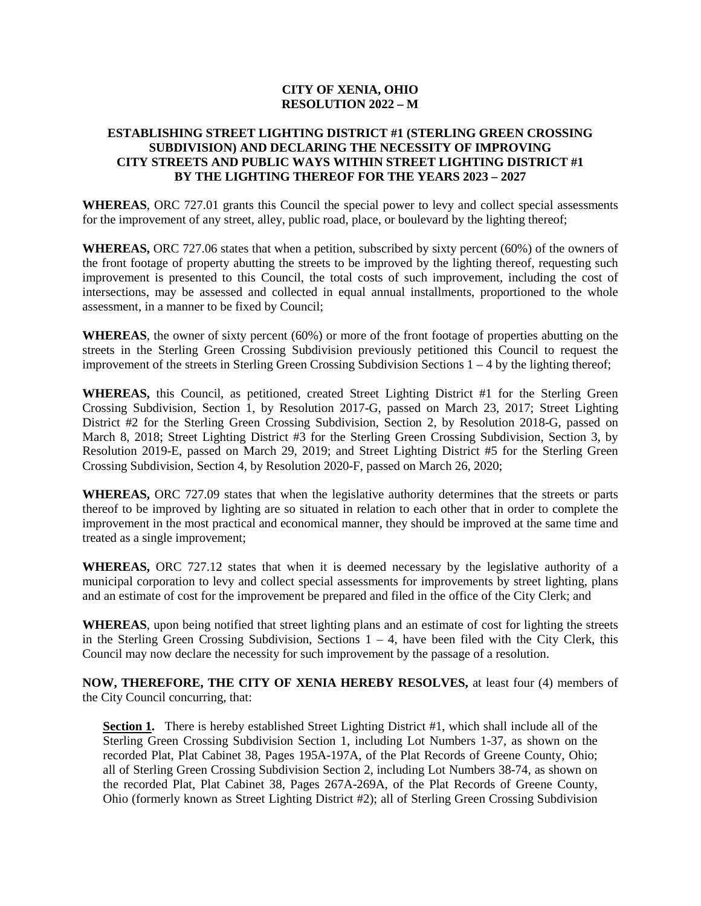#### **CITY OF XENIA, OHIO RESOLUTION 2022 – M**

### **ESTABLISHING STREET LIGHTING DISTRICT #1 (STERLING GREEN CROSSING SUBDIVISION) AND DECLARING THE NECESSITY OF IMPROVING CITY STREETS AND PUBLIC WAYS WITHIN STREET LIGHTING DISTRICT #1 BY THE LIGHTING THEREOF FOR THE YEARS 2023 – 2027**

**WHEREAS**, ORC 727.01 grants this Council the special power to levy and collect special assessments for the improvement of any street, alley, public road, place, or boulevard by the lighting thereof;

**WHEREAS,** ORC 727.06 states that when a petition, subscribed by sixty percent (60%) of the owners of the front footage of property abutting the streets to be improved by the lighting thereof, requesting such improvement is presented to this Council, the total costs of such improvement, including the cost of intersections, may be assessed and collected in equal annual installments, proportioned to the whole assessment, in a manner to be fixed by Council;

**WHEREAS**, the owner of sixty percent (60%) or more of the front footage of properties abutting on the streets in the Sterling Green Crossing Subdivision previously petitioned this Council to request the improvement of the streets in Sterling Green Crossing Subdivision Sections 1 – 4 by the lighting thereof;

**WHEREAS,** this Council, as petitioned, created Street Lighting District #1 for the Sterling Green Crossing Subdivision, Section 1, by Resolution 2017-G, passed on March 23, 2017; Street Lighting District #2 for the Sterling Green Crossing Subdivision, Section 2, by Resolution 2018-G, passed on March 8, 2018; Street Lighting District #3 for the Sterling Green Crossing Subdivision, Section 3, by Resolution 2019-E, passed on March 29, 2019; and Street Lighting District #5 for the Sterling Green Crossing Subdivision, Section 4, by Resolution 2020-F, passed on March 26, 2020;

**WHEREAS,** ORC 727.09 states that when the legislative authority determines that the streets or parts thereof to be improved by lighting are so situated in relation to each other that in order to complete the improvement in the most practical and economical manner, they should be improved at the same time and treated as a single improvement;

**WHEREAS,** ORC 727.12 states that when it is deemed necessary by the legislative authority of a municipal corporation to levy and collect special assessments for improvements by street lighting, plans and an estimate of cost for the improvement be prepared and filed in the office of the City Clerk; and

**WHEREAS**, upon being notified that street lighting plans and an estimate of cost for lighting the streets in the Sterling Green Crossing Subdivision, Sections  $1 - 4$ , have been filed with the City Clerk, this Council may now declare the necessity for such improvement by the passage of a resolution.

**NOW, THEREFORE, THE CITY OF XENIA HEREBY RESOLVES,** at least four (4) members of the City Council concurring, that:

**Section 1.** There is hereby established Street Lighting District #1, which shall include all of the Sterling Green Crossing Subdivision Section 1, including Lot Numbers 1-37, as shown on the recorded Plat, Plat Cabinet 38, Pages 195A-197A, of the Plat Records of Greene County, Ohio; all of Sterling Green Crossing Subdivision Section 2, including Lot Numbers 38-74, as shown on the recorded Plat, Plat Cabinet 38, Pages 267A-269A, of the Plat Records of Greene County, Ohio (formerly known as Street Lighting District #2); all of Sterling Green Crossing Subdivision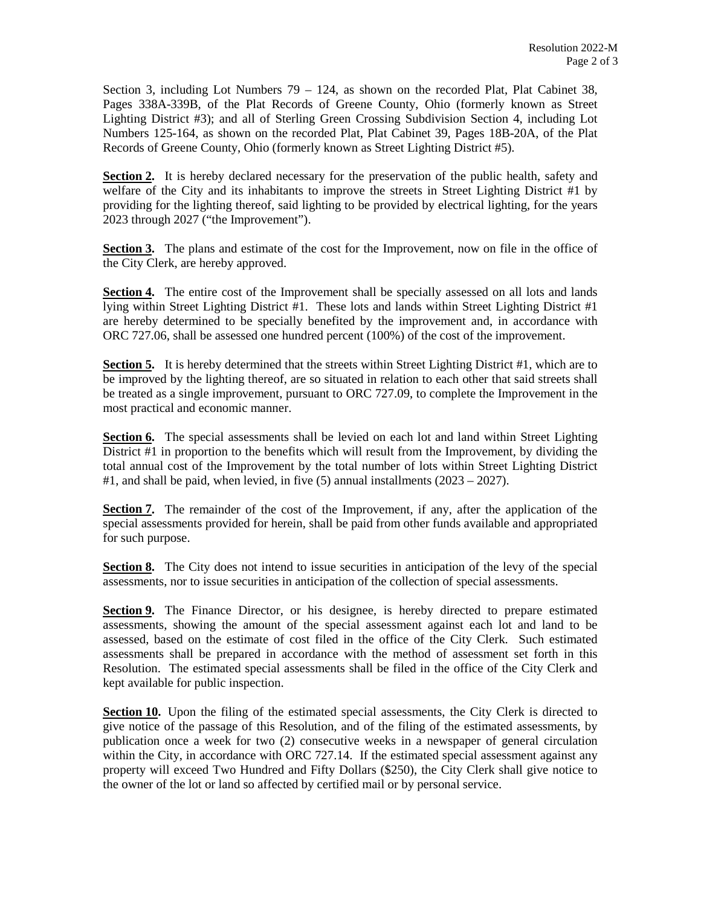Section 3, including Lot Numbers  $79 - 124$ , as shown on the recorded Plat, Plat Cabinet 38, Pages 338A-339B, of the Plat Records of Greene County, Ohio (formerly known as Street Lighting District #3); and all of Sterling Green Crossing Subdivision Section 4, including Lot Numbers 125-164, as shown on the recorded Plat, Plat Cabinet 39, Pages 18B-20A, of the Plat Records of Greene County, Ohio (formerly known as Street Lighting District #5).

**Section 2.** It is hereby declared necessary for the preservation of the public health, safety and welfare of the City and its inhabitants to improve the streets in Street Lighting District #1 by providing for the lighting thereof, said lighting to be provided by electrical lighting, for the years 2023 through 2027 ("the Improvement").

**Section 3.** The plans and estimate of the cost for the Improvement, now on file in the office of the City Clerk, are hereby approved.

**Section 4.** The entire cost of the Improvement shall be specially assessed on all lots and lands lying within Street Lighting District #1. These lots and lands within Street Lighting District #1 are hereby determined to be specially benefited by the improvement and, in accordance with ORC 727.06, shall be assessed one hundred percent (100%) of the cost of the improvement.

**Section 5.** It is hereby determined that the streets within Street Lighting District #1, which are to be improved by the lighting thereof, are so situated in relation to each other that said streets shall be treated as a single improvement, pursuant to ORC 727.09, to complete the Improvement in the most practical and economic manner.

**Section 6.** The special assessments shall be levied on each lot and land within Street Lighting District #1 in proportion to the benefits which will result from the Improvement, by dividing the total annual cost of the Improvement by the total number of lots within Street Lighting District #1, and shall be paid, when levied, in five  $(5)$  annual installments  $(2023 - 2027)$ .

**Section 7.** The remainder of the cost of the Improvement, if any, after the application of the special assessments provided for herein, shall be paid from other funds available and appropriated for such purpose.

**Section 8.** The City does not intend to issue securities in anticipation of the levy of the special assessments, nor to issue securities in anticipation of the collection of special assessments.

**Section 9.** The Finance Director, or his designee, is hereby directed to prepare estimated assessments, showing the amount of the special assessment against each lot and land to be assessed, based on the estimate of cost filed in the office of the City Clerk. Such estimated assessments shall be prepared in accordance with the method of assessment set forth in this Resolution. The estimated special assessments shall be filed in the office of the City Clerk and kept available for public inspection.

Section 10. Upon the filing of the estimated special assessments, the City Clerk is directed to give notice of the passage of this Resolution, and of the filing of the estimated assessments, by publication once a week for two (2) consecutive weeks in a newspaper of general circulation within the City, in accordance with ORC 727.14. If the estimated special assessment against any property will exceed Two Hundred and Fifty Dollars (\$250), the City Clerk shall give notice to the owner of the lot or land so affected by certified mail or by personal service.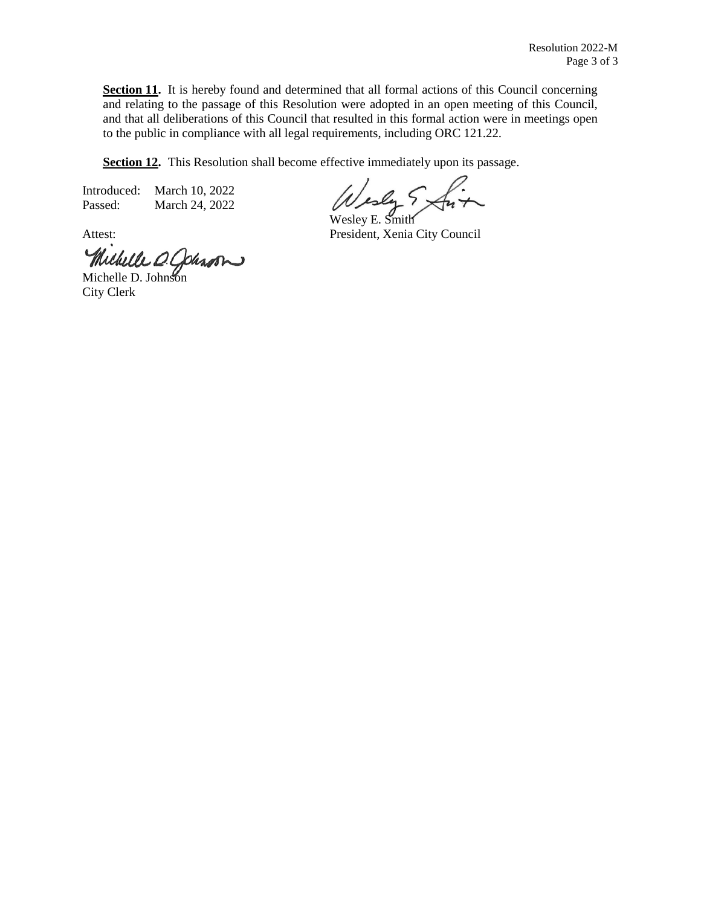**Section 11.** It is hereby found and determined that all formal actions of this Council concerning and relating to the passage of this Resolution were adopted in an open meeting of this Council, and that all deliberations of this Council that resulted in this formal action were in meetings open to the public in compliance with all legal requirements, including ORC 121.22.

**Section 12.** This Resolution shall become effective immediately upon its passage.

Introduced: March 10, 2022 Passed: March 24, 2022

Wesley E. Smith

Attest: President, Xenia City Council

Michelle O. Johnson

City Clerk